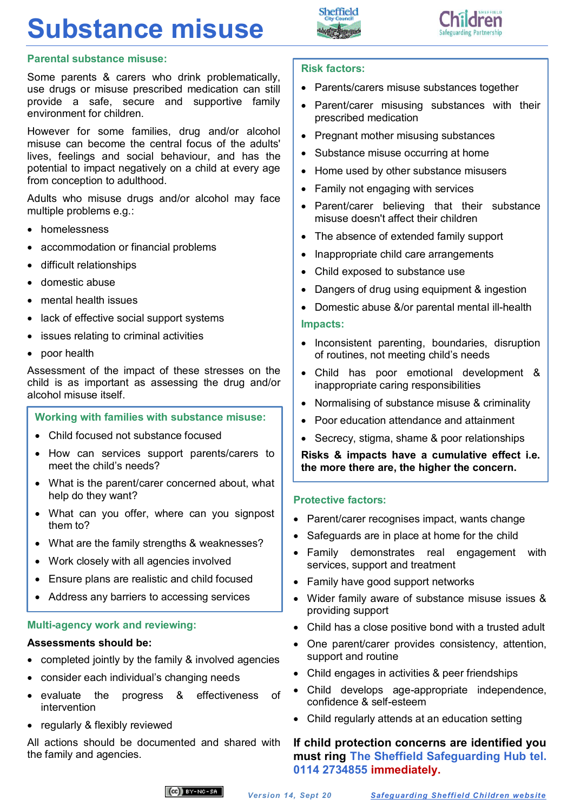# **Substance misuse**





## **Parental substance misuse:**

Some parents & carers who drink problematically, use drugs or misuse prescribed medication can still provide a safe, secure and supportive family environment for children.

However for some families, drug and/or alcohol misuse can become the central focus of the adults' lives, feelings and social behaviour, and has the potential to impact negatively on a child at every age from conception to adulthood.

Adults who misuse drugs and/or alcohol may face multiple problems e.g.:

- homelessness
- accommodation or financial problems
- difficult relationships
- domestic abuse
- mental health issues
- lack of effective social support systems
- issues relating to criminal activities
- poor health

Assessment of the impact of these stresses on the child is as important as assessing the drug and/or alcohol misuse itself.

# **Working with families with substance misuse:**

- Child focused not substance focused
- How can services support parents/carers to meet the child's needs?
- What is the parent/carer concerned about, what help do they want?
- What can you offer, where can you signpost them to?
- What are the family strengths & weaknesses?
- Work closely with all agencies involved
- Ensure plans are realistic and child focused
- Address any barriers to accessing services

#### **Multi-agency work and reviewing:**

#### **Assessments should be:**

- completed jointly by the family & involved agencies
- consider each individual's changing needs
- evaluate the progress & effectiveness of intervention
- regularly & flexibly reviewed

All actions should be documented and shared with the family and agencies.

#### **Risk factors:**

- Parents/carers misuse substances together
- Parent/carer misusing substances with their prescribed medication
- Pregnant mother misusing substances
- Substance misuse occurring at home
- Home used by other substance misusers
- Family not engaging with services
- Parent/carer believing that their substance misuse doesn't affect their children
- The absence of extended family support
- Inappropriate child care arrangements
- Child exposed to substance use
- Dangers of drug using equipment & ingestion
- Domestic abuse &/or parental mental ill-health

#### **Impacts:**

- Inconsistent parenting, boundaries, disruption of routines, not meeting child's needs
- Child has poor emotional development & inappropriate caring responsibilities
- Normalising of substance misuse & criminality
- Poor education attendance and attainment
- Secrecy, stigma, shame & poor relationships

**Risks & impacts have a cumulative effect i.e. the more there are, the higher the concern.**

#### **Protective factors:**

- Parent/carer recognises impact, wants change
- Safeguards are in place at home for the child
- Family demonstrates real engagement with services, support and treatment
- Family have good support networks
- Wider family aware of substance misuse issues & providing support
- Child has a close positive bond with a trusted adult
- One parent/carer provides consistency, attention, support and routine
- Child engages in activities & peer friendships
- Child develops age-appropriate independence, confidence & self-esteem
- Child regularly attends at an education setting

# **If child protection concerns are identified you must ring The Sheffield Safeguarding Hub tel. 0114 2734855 immediately.**